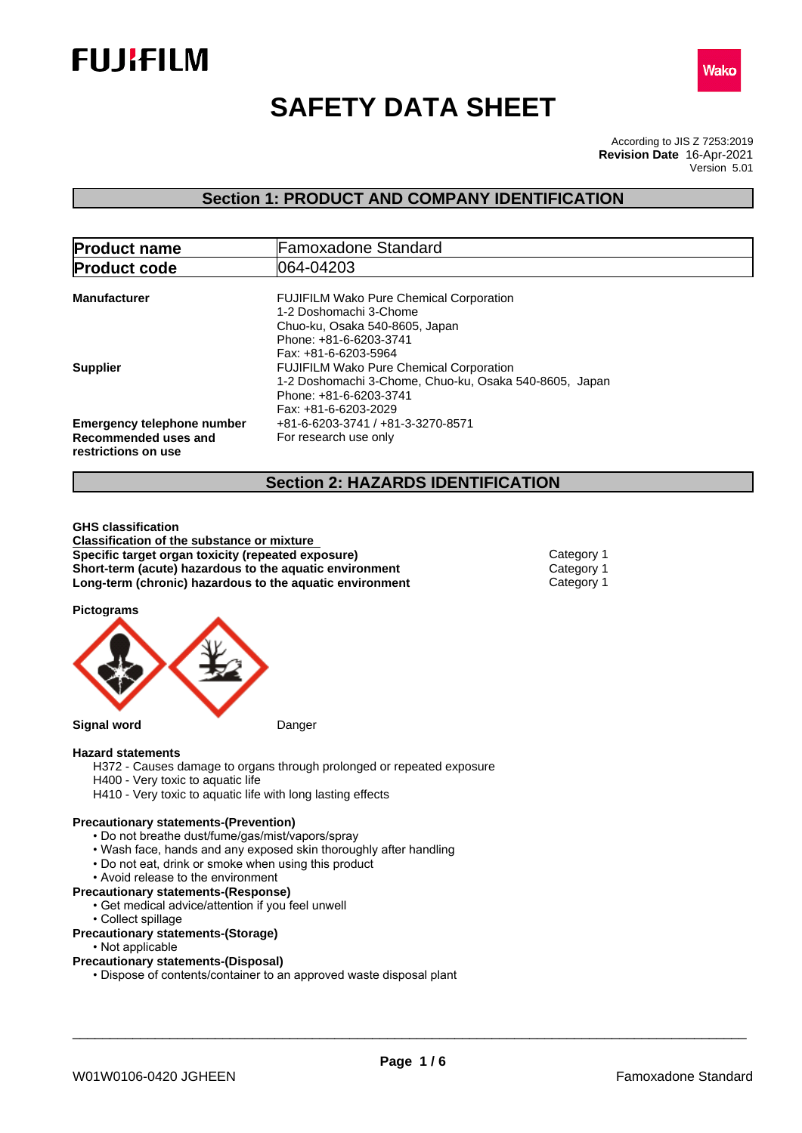



# **SAFETY DATA SHEET**

According to JIS Z 7253:2019 Version 5.01 **Revision Date** 16-Apr-2021

## **Section 1: PRODUCT AND COMPANY IDENTIFICATION**

| <b>Product name</b>                                                              | <b>Famoxadone Standard</b>                                                                                                                                 |  |
|----------------------------------------------------------------------------------|------------------------------------------------------------------------------------------------------------------------------------------------------------|--|
| <b>Product code</b>                                                              | 1064-04203                                                                                                                                                 |  |
| <b>Manufacturer</b>                                                              | <b>FUJIFILM Wako Pure Chemical Corporation</b><br>1-2 Doshomachi 3-Chome<br>Chuo-ku, Osaka 540-8605, Japan<br>Phone: +81-6-6203-3741                       |  |
| <b>Supplier</b>                                                                  | Fax: +81-6-6203-5964<br><b>FUJIFILM Wako Pure Chemical Corporation</b><br>1-2 Doshomachi 3-Chome, Chuo-ku, Osaka 540-8605, Japan<br>Phone: +81-6-6203-3741 |  |
| <b>Emergency telephone number</b><br>Recommended uses and<br>restrictions on use | Fax: +81-6-6203-2029<br>+81-6-6203-3741 / +81-3-3270-8571<br>For research use only                                                                         |  |

## **Section 2: HAZARDS IDENTIFICATION**

**GHS classification Classification of the substance or mixture Specific target organ toxicity (repeated exposure) Category 1 Short-term (acute) hazardous to the aquatic environment** Category 1<br> **Long-term (chronic) hazardous to the aquatic environment** Category 1 **Long-term (chronic) hazardous to the aquatic environment** 

**Pictograms**



#### **Hazard statements**

- H372 Causes damage to organs through prolonged or repeated exposure
- H400 Very toxic to aquatic life
- H410 Very toxic to aquatic life with long lasting effects

#### **Precautionary statements-(Prevention)**

- Do not breathe dust/fume/gas/mist/vapors/spray
- Wash face, hands and any exposed skin thoroughly after handling
- Do not eat, drink or smoke when using this product
- Avoid release to the environment
- **Precautionary statements-(Response)**
	- Get medical advice/attention if you feel unwell
	- Collect spillage
- **Precautionary statements-(Storage)**
	- Not applicable

## **Precautionary statements-(Disposal)**

• Dispose of contents/container to an approved waste disposal plant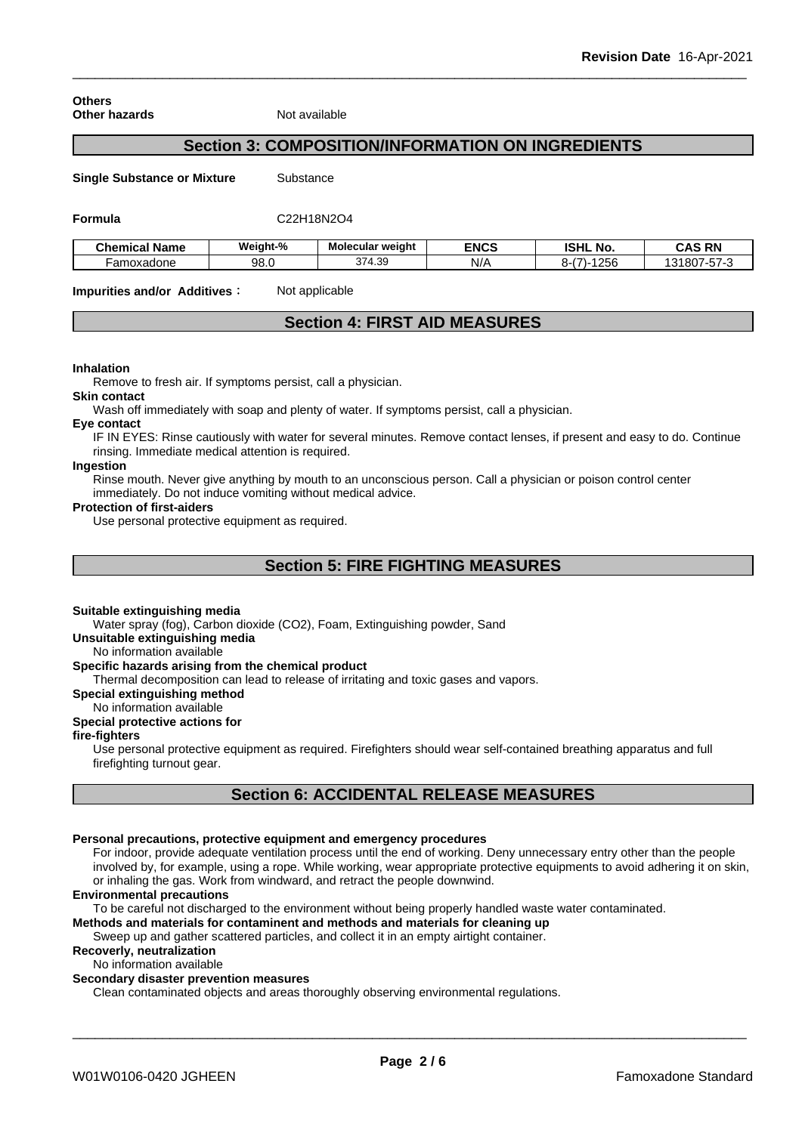**Others Other hazards** Not available

## **Section 3: COMPOSITION/INFORMATION ON INGREDIENTS**

**Single Substance or Mixture** Substance

#### **Formula** C22H18N2O4

| <b>Chemical Name</b> | Weight-% | Molecular weight | <b>ENCS</b> | <b>ISHL</b><br>. NO.   | <b>CAS RN</b>                                                |
|----------------------|----------|------------------|-------------|------------------------|--------------------------------------------------------------|
| -amoxadone           | 98.0     | 374.39<br>07 ان  | N/r         | 1022<br>∠br<br>-ר<br>ີ | $- - -$<br>007<br>ົ້<br>$ \sim$ $\cdot$<br>ou.<br>، د .<br>ີ |

**Impurities and/or Additives:** Not applicable

## **Section 4: FIRST AID MEASURES**

#### **Inhalation**

Remove to fresh air. If symptoms persist, call a physician.

#### **Skin contact**

Wash off immediately with soap and plenty of water. If symptoms persist, call a physician.

#### **Eye contact**

IF IN EYES: Rinse cautiously with water for several minutes. Remove contact lenses, if present and easy to do. Continue rinsing. Immediate medical attention is required.

## **Ingestion**

Rinse mouth. Never give anything by mouth to an unconscious person. Call a physician or poison control center immediately. Do not induce vomiting without medical advice.

#### **Protection of first-aiders**

Use personal protective equipment as required.

## **Section 5: FIRE FIGHTING MEASURES**

#### **Suitable extinguishing media**

Water spray (fog), Carbon dioxide (CO2), Foam, Extinguishing powder, Sand

#### **Unsuitable extinguishing media**

No information available

## **Specific hazards arising from the chemical product**

Thermal decomposition can lead to release of irritating and toxic gases and vapors.

#### **Special extinguishing method**

No information available

## **Special protective actions for**

## **fire-fighters**

Use personal protective equipment as required.Firefighters should wear self-contained breathing apparatus and full firefighting turnout gear.

## **Section 6: ACCIDENTAL RELEASE MEASURES**

## **Personal precautions, protective equipment and emergency procedures**

For indoor, provide adequate ventilation process until the end of working. Deny unnecessary entry other than the people involved by, for example, using a rope. While working, wear appropriate protective equipments to avoid adhering it on skin, or inhaling the gas. Work from windward, and retract the people downwind.

#### **Environmental precautions**

To be careful not discharged to the environment without being properly handled waste water contaminated.

## **Methods and materials for contaminent and methods and materials for cleaning up**

Sweep up and gather scattered particles, and collect it in an empty airtight container.

## **Recoverly, neutralization**

No information available

## **Secondary disaster prevention measures**

Clean contaminated objects and areas thoroughly observing environmental regulations.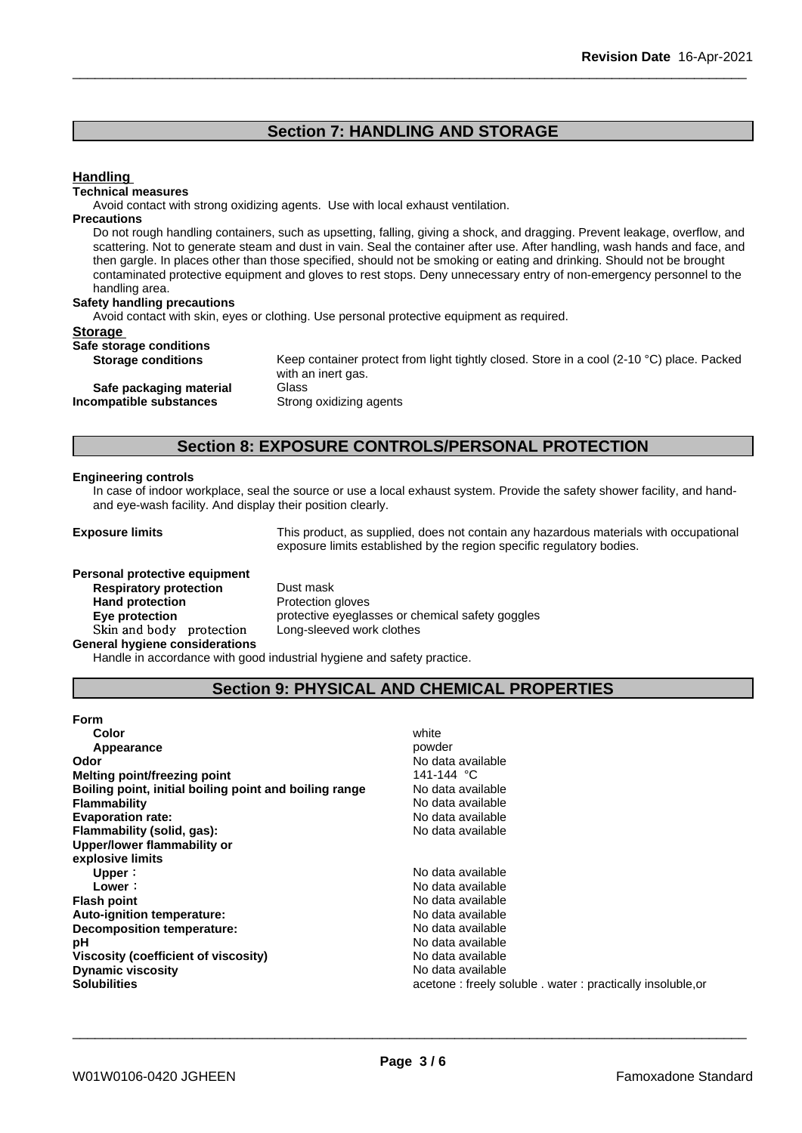## **Section 7: HANDLING AND STORAGE**

## **Handling**

#### **Technical measures**

Avoid contact with strong oxidizing agents. Use with local exhaust ventilation.

## **Precautions**

Do not rough handling containers, such as upsetting, falling, giving a shock, and dragging. Prevent leakage, overflow, and scattering. Not to generate steam and dust in vain. Seal the container after use. After handling, wash hands and face, and then gargle. In places other than those specified, should not be smoking or eating and drinking. Should not be brought contaminated protective equipment and gloves to rest stops. Deny unnecessary entry of non-emergency personnel to the handling area.

### **Safety handling precautions**

Avoid contact with skin, eyes or clothing. Use personal protective equipment as required.

#### **Storage**

| ______<br>Safe storage conditions |  |  |
|-----------------------------------|--|--|
|                                   |  |  |

**Incompatible** substances

**Storage conditions** Keep container protect from light tightly closed. Store in a cool (2-10 °C) place. Packed with an inert gas. **Safe packaging material** Glass<br>**ompatible substances** Strong oxidizing agents

## **Section 8: EXPOSURE CONTROLS/PERSONAL PROTECTION**

#### **Engineering controls**

In case of indoor workplace, seal the source or use a local exhaust system. Provide the safety shower facility, and handand eye-wash facility. And display their position clearly.

**Exposure limits** This product, as supplied, does not contain any hazardous materials with occupational exposure limits established by the region specific regulatory bodies.

| Personal protective equipment         |                      |
|---------------------------------------|----------------------|
| <b>Respiratory protection</b>         | Dust mask            |
| <b>Hand protection</b>                | Protection gloves    |
| Eye protection                        | protective eyeglasse |
| Skin and body protection              | Long-sleeved work    |
| <b>General hygiene considerations</b> |                      |
|                                       |                      |

**Dust mask Protection gloves Eye protection** protective eyeglasses or chemical safety goggles Long-sleeved work clothes

Handle in accordance with good industrial hygiene and safety practice.

## **Section 9: PHYSICAL AND CHEMICAL PROPERTIES**

| <b>Form</b>                                            |                                                            |
|--------------------------------------------------------|------------------------------------------------------------|
| Color                                                  | white                                                      |
| Appearance                                             | powder                                                     |
| Odor                                                   | No data available                                          |
| Melting point/freezing point                           | 141-144 °C                                                 |
| Boiling point, initial boiling point and boiling range | No data available                                          |
| <b>Flammability</b>                                    | No data available                                          |
| <b>Evaporation rate:</b>                               | No data available                                          |
| Flammability (solid, gas):                             | No data available                                          |
| Upper/lower flammability or                            |                                                            |
| explosive limits                                       |                                                            |
| Upper:                                                 | No data available                                          |
| Lower:                                                 | No data available                                          |
| <b>Flash point</b>                                     | No data available                                          |
| <b>Auto-ignition temperature:</b>                      | No data available                                          |
| Decomposition temperature:                             | No data available                                          |
| рH                                                     | No data available                                          |
| Viscosity (coefficient of viscosity)                   | No data available                                          |
| <b>Dynamic viscosity</b>                               | No data available                                          |
| <b>Solubilities</b>                                    | acetone: freely soluble . water: practically insoluble, or |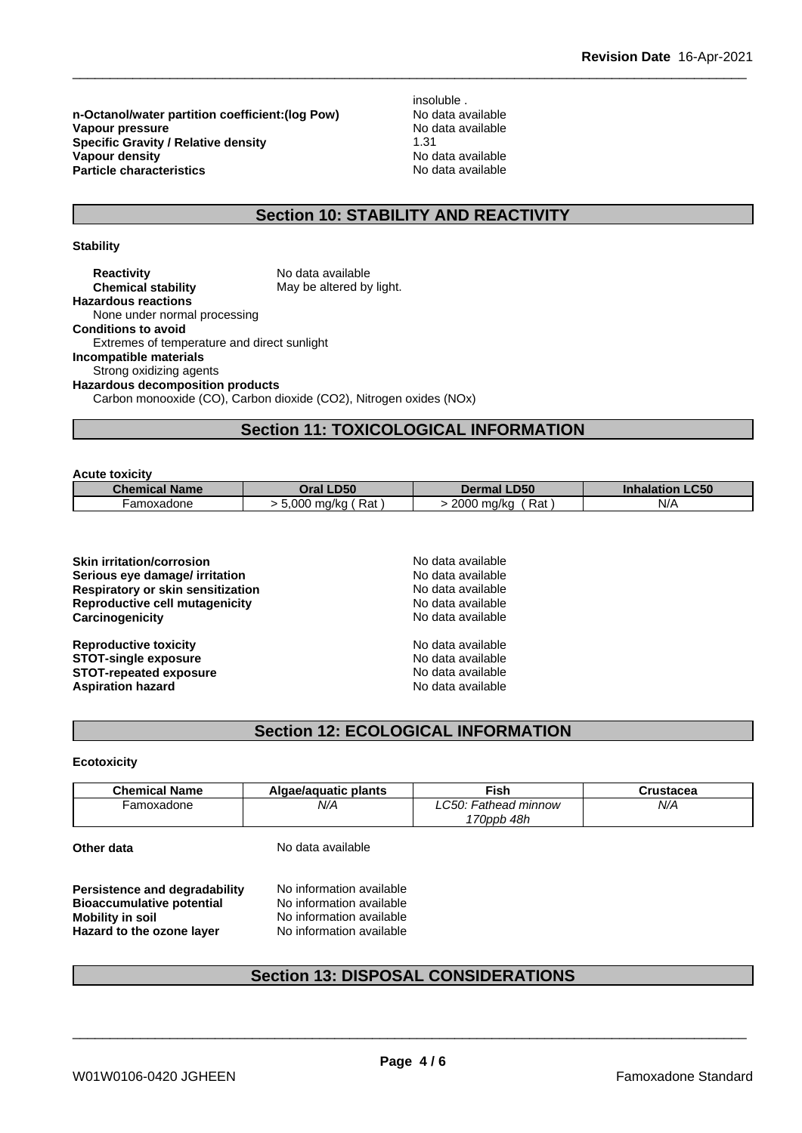**n-Octanol/water partition coefficient:(log Pow) No data available<br>
<b>Vapour pressure** No data available **Vapour pressure Specific Gravity / Relative density** 1.31 1.31 **Vapour density** 1.31 **Vapour density**<br> **Particle characteristics**<br> **Particle characteristics**<br> **Particle characteristics Particle characteristics** 

insoluble .

## **Section 10: STABILITY AND REACTIVITY**

## **Stability**

**Reactivity** No data available<br> **Chemical stability** May be altered by May be altered by light. **Hazardous reactions** None under normal processing **Conditions to avoid** Extremes of temperature and direct sunlight **Incompatible materials** Strong oxidizing agents **Hazardous decomposition products** Carbon monooxide (CO), Carbon dioxide (CO2), Nitrogen oxides (NOx)

## **Section 11: TOXICOLOGICAL INFORMATION**

| <b>Acute toxicity</b> |  |  |
|-----------------------|--|--|
|                       |  |  |

| <b>Chemical Name</b> | Oral LD50            | <b>LD50</b><br><b>Dermal</b> | $\_C50$<br><b>Inhalation</b> |
|----------------------|----------------------|------------------------------|------------------------------|
| ·amoxadone           | Rat<br>.000<br>ma/ka | 2000 ma/ka<br>Rat            | N/A                          |

| <b>Skin irritation/corrosion</b>      | No data available |  |
|---------------------------------------|-------------------|--|
| Serious eye damage/ irritation        | No data available |  |
| Respiratory or skin sensitization     | No data available |  |
| <b>Reproductive cell mutagenicity</b> | No data available |  |
| Carcinogenicity                       | No data available |  |
| <b>Reproductive toxicity</b>          | No data available |  |
| <b>STOT-single exposure</b>           | No data available |  |
| <b>STOT-repeated exposure</b>         | No data available |  |
| <b>Aspiration hazard</b>              | No data available |  |
|                                       |                   |  |

## **Section 12: ECOLOGICAL INFORMATION**

#### **Ecotoxicity**

| <b>Chemical Name</b> | Algae/aguatic plants | ≂ish                                       | `rustacea |
|----------------------|----------------------|--------------------------------------------|-----------|
| amoxadone            | N/A                  | $\degree$ : 0.50:<br><b>Fathead minnow</b> | N/A       |
|                      |                      | 70ppb 48h                                  |           |

| Other data |  |
|------------|--|
|------------|--|

**Other data** No data available

**Persistence and degradability** No information available<br>**Bioaccumulative potential** No information available **Bioaccumulative potential Mobility in soil** No information available **Hazard to the ozone layer** No information available

## **Section 13: DISPOSAL CONSIDERATIONS**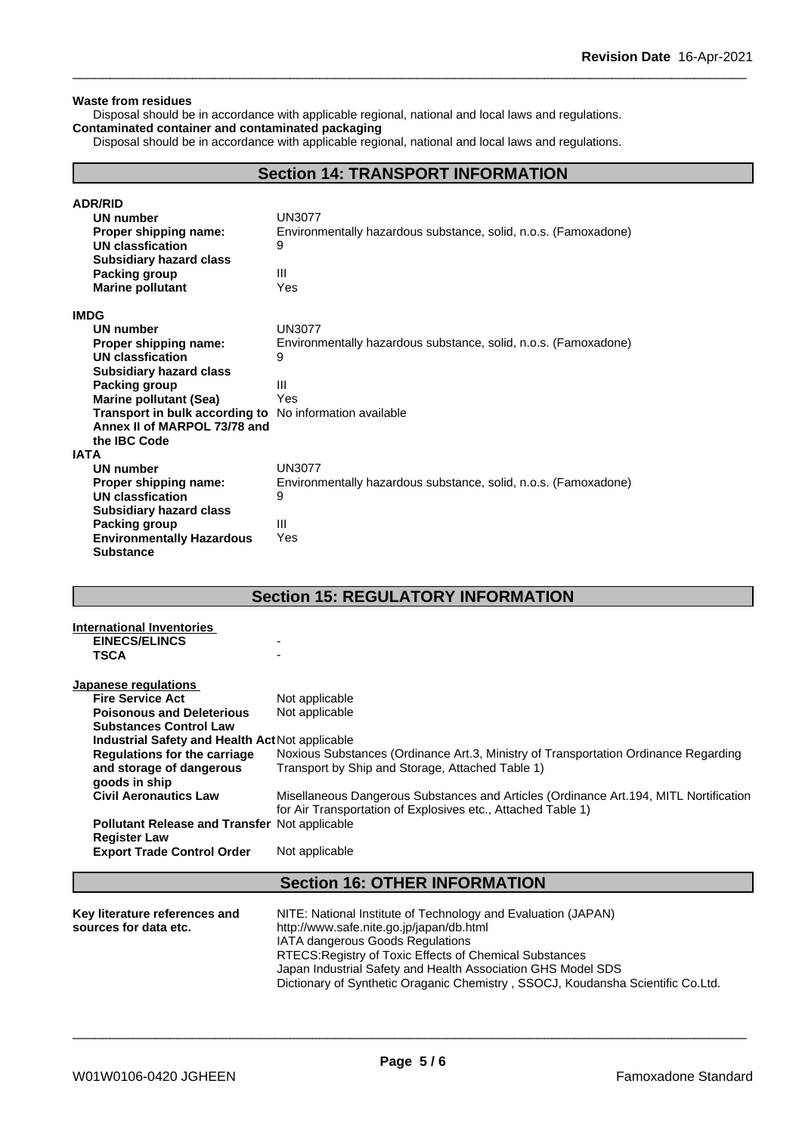#### **Waste from residues**

Disposal should be in accordance with applicable regional, national and local laws and regulations. **Contaminated container and contaminated packaging**

Disposal should be in accordance with applicable regional, national and local laws and regulations.

## **Section 14: TRANSPORT INFORMATION**

| <b>ADR/RID</b>                                                 |                                                                 |
|----------------------------------------------------------------|-----------------------------------------------------------------|
| <b>UN number</b>                                               | <b>UN3077</b>                                                   |
| Proper shipping name:                                          | Environmentally hazardous substance, solid, n.o.s. (Famoxadone) |
| UN classfication                                               | 9                                                               |
| <b>Subsidiary hazard class</b>                                 |                                                                 |
| Packing group                                                  | Ш                                                               |
| <b>Marine pollutant</b>                                        | Yes                                                             |
| <b>IMDG</b>                                                    |                                                                 |
| <b>UN number</b>                                               | <b>UN3077</b>                                                   |
| Proper shipping name:                                          | Environmentally hazardous substance, solid, n.o.s. (Famoxadone) |
| UN classfication                                               | 9                                                               |
| <b>Subsidiary hazard class</b>                                 |                                                                 |
| Packing group                                                  | Ш                                                               |
| <b>Marine pollutant (Sea)</b>                                  | Yes                                                             |
| <b>Transport in bulk according to</b> No information available |                                                                 |
| Annex II of MARPOL 73/78 and                                   |                                                                 |
| the IBC Code                                                   |                                                                 |
| <b>IATA</b>                                                    |                                                                 |
| UN number                                                      | <b>UN3077</b>                                                   |
| Proper shipping name:                                          | Environmentally hazardous substance, solid, n.o.s. (Famoxadone) |
| UN classfication                                               | 9                                                               |
| <b>Subsidiary hazard class</b>                                 |                                                                 |
| Packing group                                                  | Ш                                                               |
| <b>Environmentally Hazardous</b>                               | Yes                                                             |
| <b>Substance</b>                                               |                                                                 |

## **Section 15: REGULATORY INFORMATION**

| International Inventories                            |                                                                                        |
|------------------------------------------------------|----------------------------------------------------------------------------------------|
| <b>EINECS/ELINCS</b>                                 |                                                                                        |
| <b>TSCA</b>                                          |                                                                                        |
|                                                      |                                                                                        |
| Japanese regulations                                 |                                                                                        |
| <b>Fire Service Act</b>                              | Not applicable                                                                         |
| <b>Poisonous and Deleterious</b>                     | Not applicable                                                                         |
| <b>Substances Control Law</b>                        |                                                                                        |
| Industrial Safety and Health Act Not applicable      |                                                                                        |
| <b>Regulations for the carriage</b>                  | Noxious Substances (Ordinance Art.3, Ministry of Transportation Ordinance Regarding    |
| and storage of dangerous                             | Transport by Ship and Storage, Attached Table 1)                                       |
| goods in ship                                        |                                                                                        |
| <b>Civil Aeronautics Law</b>                         | Misellaneous Dangerous Substances and Articles (Ordinance Art. 194, MITL Nortification |
|                                                      | for Air Transportation of Explosives etc., Attached Table 1)                           |
| <b>Pollutant Release and Transfer Not applicable</b> |                                                                                        |
| <b>Register Law</b>                                  |                                                                                        |
| <b>Export Trade Control Order</b>                    | Not applicable                                                                         |
|                                                      |                                                                                        |
|                                                      | <b>Section 16: OTHER INFORMATION</b>                                                   |
|                                                      |                                                                                        |
| Key literature references and                        | NITE: National Institute of Technology and Evaluation (JAPAN)                          |
| sources for data etc.                                | http://www.safe.nite.go.jp/japan/db.html                                               |
|                                                      | IATA dangerous Goods Regulations                                                       |
|                                                      | RTECS: Registry of Toxic Effects of Chemical Substances                                |
|                                                      | Japan Industrial Safety and Health Association GHS Model SDS                           |
|                                                      | Dictionary of Synthetic Oraganic Chemistry, SSOCJ, Koudansha Scientific Co.Ltd.        |
|                                                      |                                                                                        |